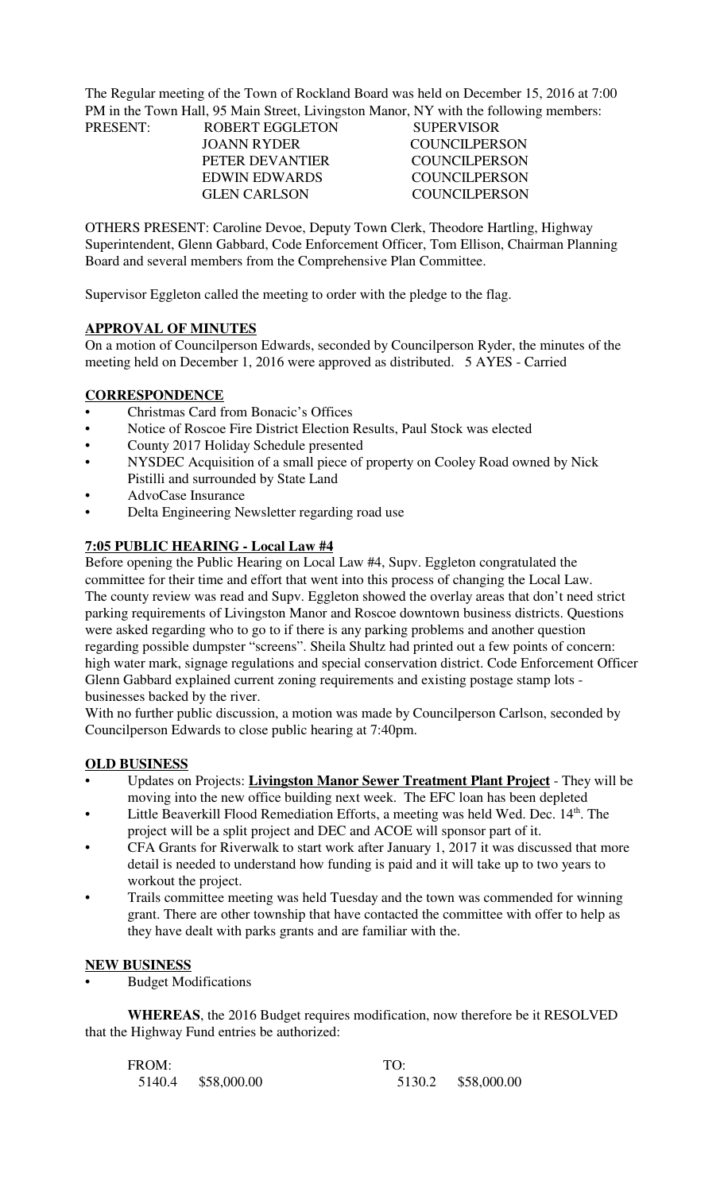The Regular meeting of the Town of Rockland Board was held on December 15, 2016 at 7:00 PM in the Town Hall, 95 Main Street, Livingston Manor, NY with the following members: PRESENT:

| PRESENT: | ROBERT EGGLETON      | <b>SUPERVISOR</b> |
|----------|----------------------|-------------------|
|          | JOANN RYDER          | COUNCIL PERSON    |
|          | PETER DEVANTIER      | COUNCIL PERSON    |
|          | <b>EDWIN EDWARDS</b> | COUNCIL PERSON    |
|          | <b>GLEN CARLSON</b>  | COUNCIL PERSON    |
|          |                      |                   |

OTHERS PRESENT: Caroline Devoe, Deputy Town Clerk, Theodore Hartling, Highway Superintendent, Glenn Gabbard, Code Enforcement Officer, Tom Ellison, Chairman Planning Board and several members from the Comprehensive Plan Committee.

Supervisor Eggleton called the meeting to order with the pledge to the flag.

#### **APPROVAL OF MINUTES**

On a motion of Councilperson Edwards, seconded by Councilperson Ryder, the minutes of the meeting held on December 1, 2016 were approved as distributed. 5 AYES - Carried

### **CORRESPONDENCE**

- Christmas Card from Bonacic's Offices
- Notice of Roscoe Fire District Election Results, Paul Stock was elected
- County 2017 Holiday Schedule presented
- NYSDEC Acquisition of a small piece of property on Cooley Road owned by Nick Pistilli and surrounded by State Land
- AdvoCase Insurance
- Delta Engineering Newsletter regarding road use

### **7:05 PUBLIC HEARING - Local Law #4**

Before opening the Public Hearing on Local Law #4, Supv. Eggleton congratulated the committee for their time and effort that went into this process of changing the Local Law. The county review was read and Supv. Eggleton showed the overlay areas that don't need strict parking requirements of Livingston Manor and Roscoe downtown business districts. Questions were asked regarding who to go to if there is any parking problems and another question regarding possible dumpster "screens". Sheila Shultz had printed out a few points of concern: high water mark, signage regulations and special conservation district. Code Enforcement Officer Glenn Gabbard explained current zoning requirements and existing postage stamp lots businesses backed by the river.

With no further public discussion, a motion was made by Councilperson Carlson, seconded by Councilperson Edwards to close public hearing at 7:40pm.

#### **OLD BUSINESS**

- Updates on Projects: **Livingston Manor Sewer Treatment Plant Project** They will be moving into the new office building next week. The EFC loan has been depleted
- Little Beaverkill Flood Remediation Efforts, a meeting was held Wed. Dec. 14<sup>th</sup>. The project will be a split project and DEC and ACOE will sponsor part of it.
- CFA Grants for Riverwalk to start work after January 1, 2017 it was discussed that more detail is needed to understand how funding is paid and it will take up to two years to workout the project.
- Trails committee meeting was held Tuesday and the town was commended for winning grant. There are other township that have contacted the committee with offer to help as they have dealt with parks grants and are familiar with the.

#### **NEW BUSINESS**

• Budget Modifications

**WHEREAS**, the 2016 Budget requires modification, now therefore be it RESOLVED that the Highway Fund entries be authorized:

| FROM: |                    | TO: |                    |  |
|-------|--------------------|-----|--------------------|--|
|       | 5140.4 \$58,000.00 |     | 5130.2 \$58,000.00 |  |